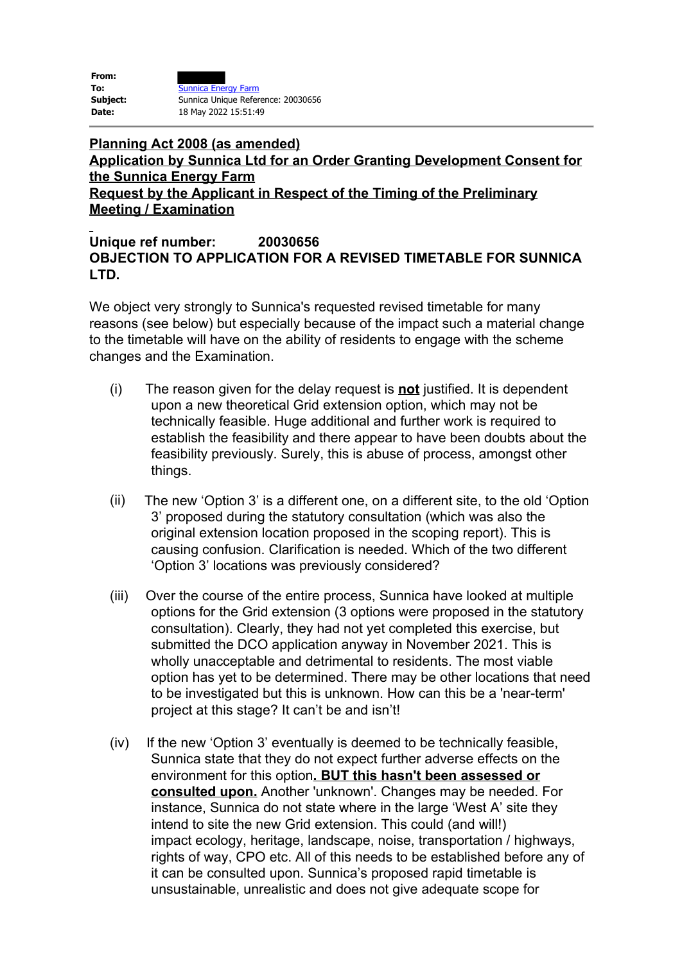| From:    |                                    |
|----------|------------------------------------|
| To:      | <b>Sunnica Energy Farm</b>         |
| Subject: | Sunnica Unique Reference: 20030656 |
| Date:    | 18 May 2022 15:51:49               |

## **Planning Act 2008 (as amended) Application by Sunnica Ltd for an Order Granting Development Consent for the Sunnica Energy Farm Request by the Applicant in Respect of the Timing of the Preliminary Meeting / Examination**

## **Unique ref number: 20030656 OBJECTION TO APPLICATION FOR A REVISED TIMETABLE FOR SUNNICA LTD.**

We object very strongly to Sunnica's requested revised timetable for many reasons (see below) but especially because of the impact such a material change to the timetable will have on the ability of residents to engage with the scheme changes and the Examination.

- (i) The reason given for the delay request is **not** justified. It is dependent upon a new theoretical Grid extension option, which may not be technically feasible. Huge additional and further work is required to establish the feasibility and there appear to have been doubts about the feasibility previously. Surely, this is abuse of process, amongst other things.
- (ii) The new 'Option 3' is a different one, on a different site, to the old 'Option 3' proposed during the statutory consultation (which was also the original extension location proposed in the scoping report). This is causing confusion. Clarification is needed. Which of the two different 'Option 3' locations was previously considered?
- (iii) Over the course of the entire process, Sunnica have looked at multiple options for the Grid extension (3 options were proposed in the statutory consultation). Clearly, they had not yet completed this exercise, but submitted the DCO application anyway in November 2021. This is wholly unacceptable and detrimental to residents. The most viable option has yet to be determined. There may be other locations that need to be investigated but this is unknown. How can this be a 'near-term' project at this stage? It can't be and isn't!
- (iv) If the new 'Option 3' eventually is deemed to be technically feasible, Sunnica state that they do not expect further adverse effects on the environment for this option**. BUT this hasn't been assessed or consulted upon.** Another 'unknown'. Changes may be needed. For instance, Sunnica do not state where in the large 'West A' site they intend to site the new Grid extension. This could (and will!) impact ecology, heritage, landscape, noise, transportation / highways, rights of way, CPO etc. All of this needs to be established before any of it can be consulted upon. Sunnica's proposed rapid timetable is unsustainable, unrealistic and does not give adequate scope for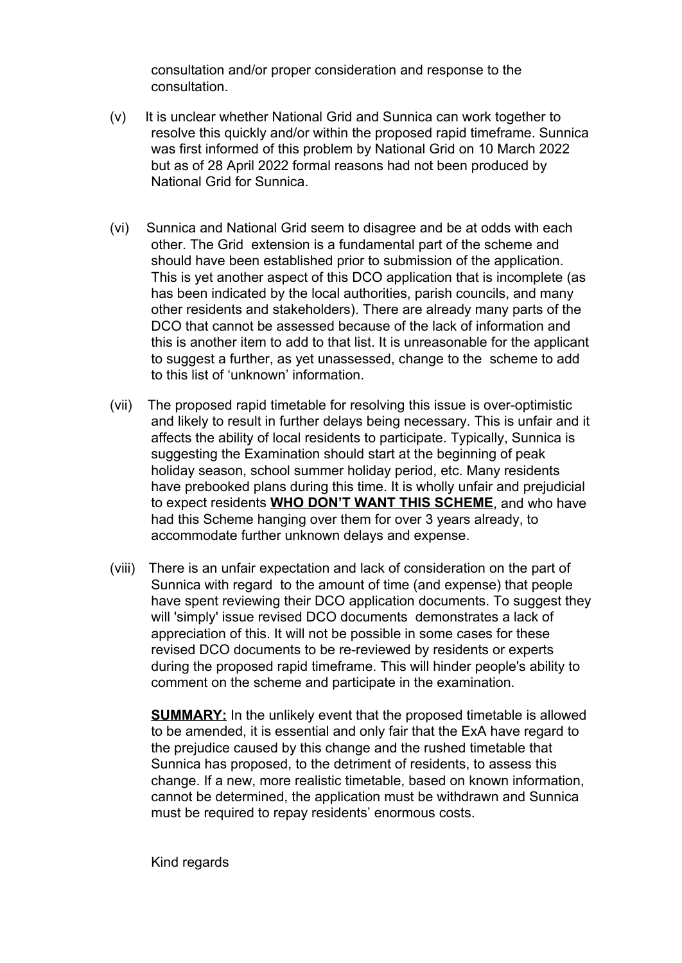consultation and/or proper consideration and response to the consultation.

- (v) It is unclear whether National Grid and Sunnica can work together to resolve this quickly and/or within the proposed rapid timeframe. Sunnica was first informed of this problem by National Grid on 10 March 2022 but as of 28 April 2022 formal reasons had not been produced by National Grid for Sunnica.
- (vi) Sunnica and National Grid seem to disagree and be at odds with each other. The Grid extension is a fundamental part of the scheme and should have been established prior to submission of the application. This is yet another aspect of this DCO application that is incomplete (as has been indicated by the local authorities, parish councils, and many other residents and stakeholders). There are already many parts of the DCO that cannot be assessed because of the lack of information and this is another item to add to that list. It is unreasonable for the applicant to suggest a further, as yet unassessed, change to the scheme to add to this list of 'unknown' information.
- (vii) The proposed rapid timetable for resolving this issue is over-optimistic and likely to result in further delays being necessary. This is unfair and it affects the ability of local residents to participate. Typically, Sunnica is suggesting the Examination should start at the beginning of peak holiday season, school summer holiday period, etc. Many residents have prebooked plans during this time. It is wholly unfair and prejudicial to expect residents **WHO DON'T WANT THIS SCHEME**, and who have had this Scheme hanging over them for over 3 years already, to accommodate further unknown delays and expense.
- (viii) There is an unfair expectation and lack of consideration on the part of Sunnica with regard to the amount of time (and expense) that people have spent reviewing their DCO application documents. To suggest they will 'simply' issue revised DCO documents demonstrates a lack of appreciation of this. It will not be possible in some cases for these revised DCO documents to be re-reviewed by residents or experts during the proposed rapid timeframe. This will hinder people's ability to comment on the scheme and participate in the examination.

**SUMMARY:** In the unlikely event that the proposed timetable is allowed to be amended, it is essential and only fair that the ExA have regard to the prejudice caused by this change and the rushed timetable that Sunnica has proposed, to the detriment of residents, to assess this change. If a new, more realistic timetable, based on known information, cannot be determined, the application must be withdrawn and Sunnica must be required to repay residents' enormous costs.

Kind regards